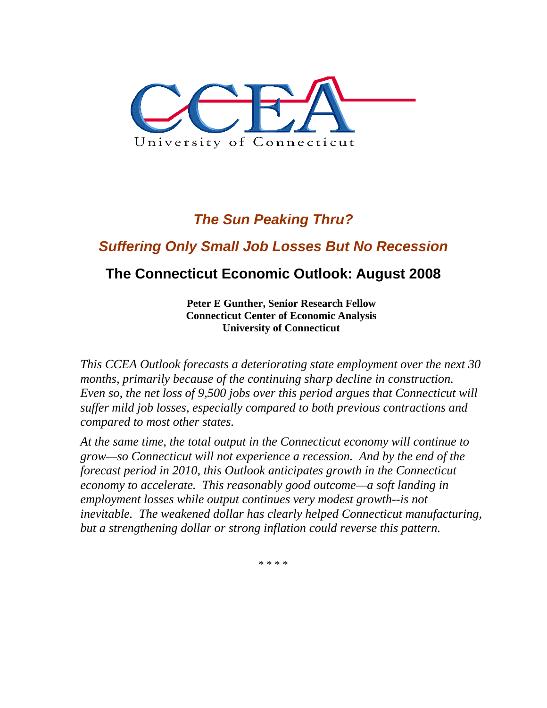

# *The Sun Peaking Thru?*

## *Suffering Only Small Job Losses But No Recession*

### **The Connecticut Economic Outlook: August 2008**

**Peter E Gunther, Senior Research Fellow Connecticut Center of Economic Analysis University of Connecticut** 

*This CCEA Outlook forecasts a deteriorating state employment over the next 30 months, primarily because of the continuing sharp decline in construction. Even so, the net loss of 9,500 jobs over this period argues that Connecticut will suffer mild job losses, especially compared to both previous contractions and compared to most other states.* 

*At the same time, the total output in the Connecticut economy will continue to grow—so Connecticut will not experience a recession. And by the end of the forecast period in 2010, this Outlook anticipates growth in the Connecticut economy to accelerate. This reasonably good outcome—a soft landing in employment losses while output continues very modest growth--is not inevitable. The weakened dollar has clearly helped Connecticut manufacturing, but a strengthening dollar or strong inflation could reverse this pattern.* 

\* \* \* \*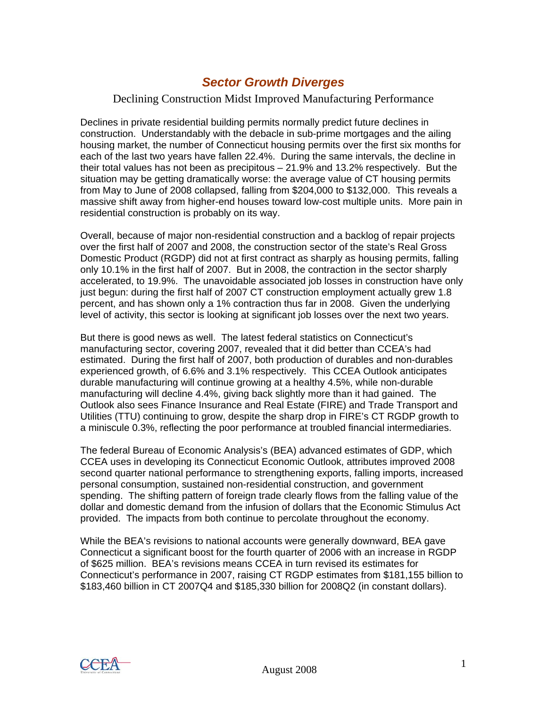### *Sector Growth Diverges*

#### Declining Construction Midst Improved Manufacturing Performance

Declines in private residential building permits normally predict future declines in construction. Understandably with the debacle in sub-prime mortgages and the ailing housing market, the number of Connecticut housing permits over the first six months for each of the last two years have fallen 22.4%. During the same intervals, the decline in their total values has not been as precipitous – 21.9% and 13.2% respectively. But the situation may be getting dramatically worse: the average value of CT housing permits from May to June of 2008 collapsed, falling from \$204,000 to \$132,000. This reveals a massive shift away from higher-end houses toward low-cost multiple units. More pain in residential construction is probably on its way.

Overall, because of major non-residential construction and a backlog of repair projects over the first half of 2007 and 2008, the construction sector of the state's Real Gross Domestic Product (RGDP) did not at first contract as sharply as housing permits, falling only 10.1% in the first half of 2007. But in 2008, the contraction in the sector sharply accelerated, to 19.9%. The unavoidable associated job losses in construction have only just begun: during the first half of 2007 CT construction employment actually grew 1.8 percent, and has shown only a 1% contraction thus far in 2008. Given the underlying level of activity, this sector is looking at significant job losses over the next two years.

But there is good news as well. The latest federal statistics on Connecticut's manufacturing sector, covering 2007, revealed that it did better than CCEA's had estimated. During the first half of 2007, both production of durables and non-durables experienced growth, of 6.6% and 3.1% respectively. This CCEA Outlook anticipates durable manufacturing will continue growing at a healthy 4.5%, while non-durable manufacturing will decline 4.4%, giving back slightly more than it had gained. The Outlook also sees Finance Insurance and Real Estate (FIRE) and Trade Transport and Utilities (TTU) continuing to grow, despite the sharp drop in FIRE's CT RGDP growth to a miniscule 0.3%, reflecting the poor performance at troubled financial intermediaries.

The federal Bureau of Economic Analysis's (BEA) advanced estimates of GDP, which CCEA uses in developing its Connecticut Economic Outlook, attributes improved 2008 second quarter national performance to strengthening exports, falling imports, increased personal consumption, sustained non-residential construction, and government spending. The shifting pattern of foreign trade clearly flows from the falling value of the dollar and domestic demand from the infusion of dollars that the Economic Stimulus Act provided. The impacts from both continue to percolate throughout the economy.

While the BEA's revisions to national accounts were generally downward, BEA gave Connecticut a significant boost for the fourth quarter of 2006 with an increase in RGDP of \$625 million. BEA's revisions means CCEA in turn revised its estimates for Connecticut's performance in 2007, raising CT RGDP estimates from \$181,155 billion to \$183,460 billion in CT 2007Q4 and \$185,330 billion for 2008Q2 (in constant dollars).

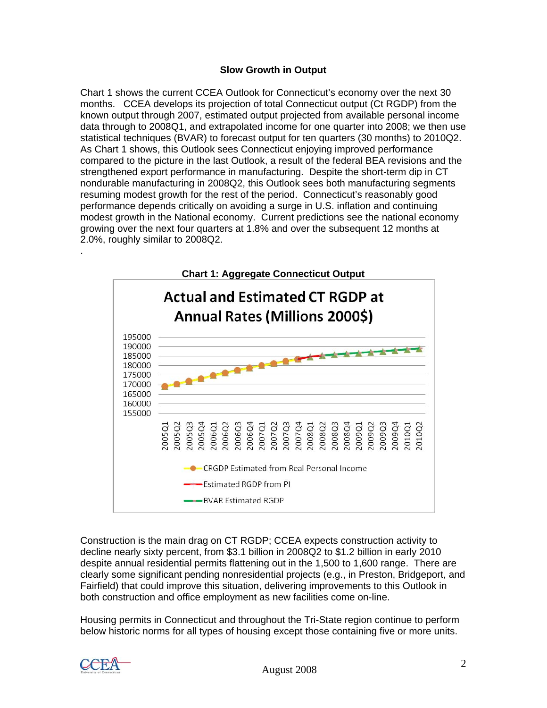#### **Slow Growth in Output**

Chart 1 shows the current CCEA Outlook for Connecticut's economy over the next 30 months. CCEA develops its projection of total Connecticut output (Ct RGDP) from the known output through 2007, estimated output projected from available personal income data through to 2008Q1, and extrapolated income for one quarter into 2008; we then use statistical techniques (BVAR) to forecast output for ten quarters (30 months) to 2010Q2. As Chart 1 shows, this Outlook sees Connecticut enjoying improved performance compared to the picture in the last Outlook, a result of the federal BEA revisions and the strengthened export performance in manufacturing. Despite the short-term dip in CT nondurable manufacturing in 2008Q2, this Outlook sees both manufacturing segments resuming modest growth for the rest of the period. Connecticut's reasonably good performance depends critically on avoiding a surge in U.S. inflation and continuing modest growth in the National economy. Current predictions see the national economy growing over the next four quarters at 1.8% and over the subsequent 12 months at 2.0%, roughly similar to 2008Q2.



Construction is the main drag on CT RGDP; CCEA expects construction activity to decline nearly sixty percent, from \$3.1 billion in 2008Q2 to \$1.2 billion in early 2010 despite annual residential permits flattening out in the 1,500 to 1,600 range. There are clearly some significant pending nonresidential projects (e.g., in Preston, Bridgeport, and Fairfield) that could improve this situation, delivering improvements to this Outlook in both construction and office employment as new facilities come on-line.

Housing permits in Connecticut and throughout the Tri-State region continue to perform below historic norms for all types of housing except those containing five or more units.



.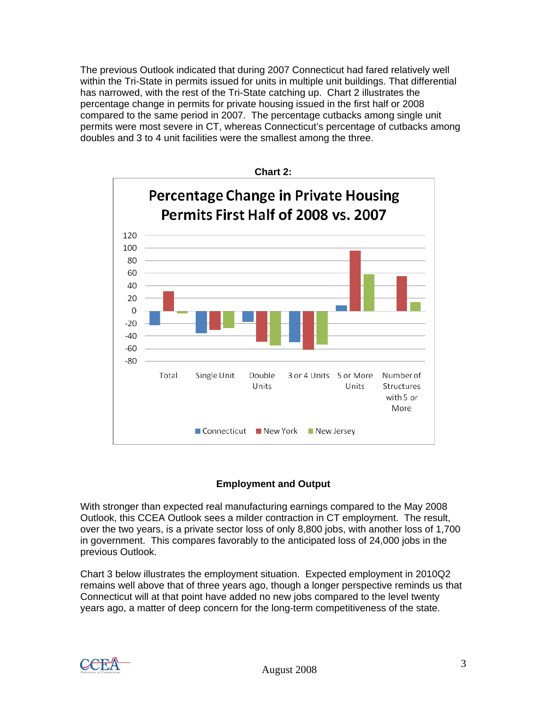The previous Outlook indicated that during 2007 Connecticut had fared relatively well within the Tri-State in permits issued for units in multiple unit buildings. That differential has narrowed, with the rest of the Tri-State catching up. Chart 2 illustrates the percentage change in permits for private housing issued in the first half or 2008 compared to the same period in 2007. The percentage cutbacks among single unit permits were most severe in CT, whereas Connecticut's percentage of cutbacks among doubles and 3 to 4 unit facilities were the smallest among the three.



#### **Employment and Output**

With stronger than expected real manufacturing earnings compared to the May 2008 Outlook, this CCEA Outlook sees a milder contraction in CT employment. The result, over the two years, is a private sector loss of only 8,800 jobs, with another loss of 1,700 in government. This compares favorably to the anticipated loss of 24,000 jobs in the previous Outlook.

Chart 3 below illustrates the employment situation. Expected employment in 2010Q2 remains well above that of three years ago, though a longer perspective reminds us that Connecticut will at that point have added no new jobs compared to the level twenty years ago, a matter of deep concern for the long-term competitiveness of the state.

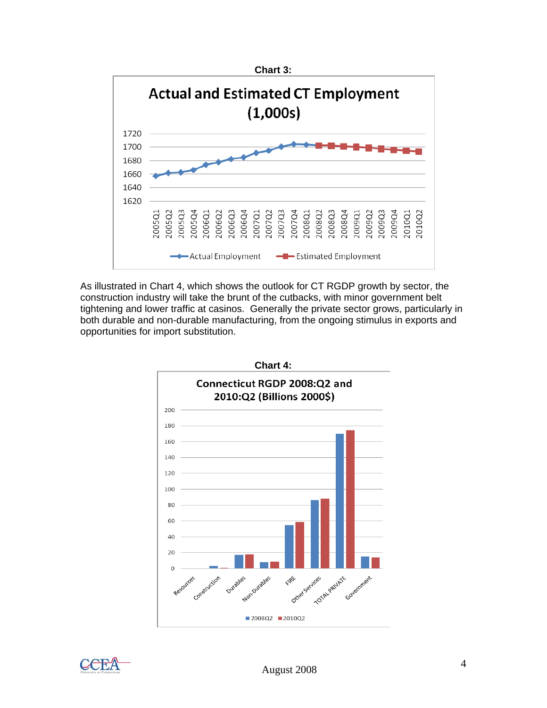

As illustrated in Chart 4, which shows the outlook for CT RGDP growth by sector, the construction industry will take the brunt of the cutbacks, with minor government belt tightening and lower traffic at casinos. Generally the private sector grows, particularly in both durable and non-durable manufacturing, from the ongoing stimulus in exports and opportunities for import substitution.



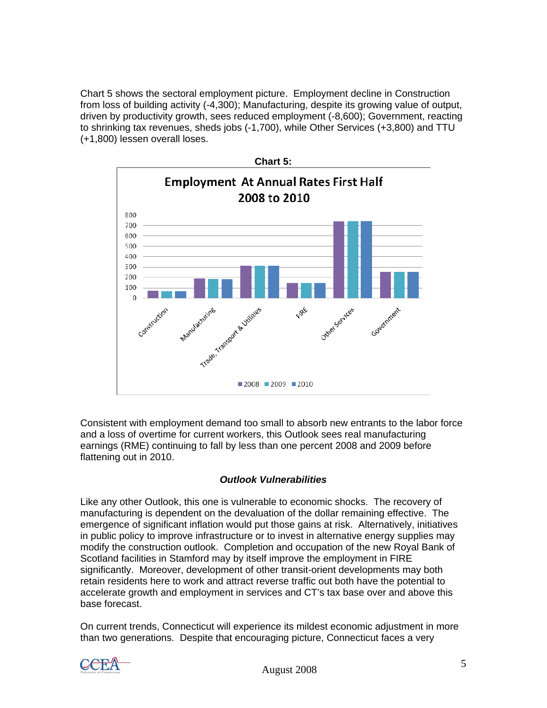Chart 5 shows the sectoral employment picture. Employment decline in Construction from loss of building activity (-4,300); Manufacturing, despite its growing value of output, driven by productivity growth, sees reduced employment (-8,600); Government, reacting to shrinking tax revenues, sheds jobs (-1,700), while Other Services (+3,800) and TTU (+1,800) lessen overall loses.



Consistent with employment demand too small to absorb new entrants to the labor force and a loss of overtime for current workers, this Outlook sees real manufacturing earnings (RME) continuing to fall by less than one percent 2008 and 2009 before flattening out in 2010.

#### *Outlook Vulnerabilities*

Like any other Outlook, this one is vulnerable to economic shocks. The recovery of manufacturing is dependent on the devaluation of the dollar remaining effective. The emergence of significant inflation would put those gains at risk. Alternatively, initiatives in public policy to improve infrastructure or to invest in alternative energy supplies may modify the construction outlook. Completion and occupation of the new Royal Bank of Scotland facilities in Stamford may by itself improve the employment in FIRE significantly. Moreover, development of other transit-orient developments may both retain residents here to work and attract reverse traffic out both have the potential to accelerate growth and employment in services and CT's tax base over and above this base forecast.

On current trends, Connecticut will experience its mildest economic adjustment in more than two generations. Despite that encouraging picture, Connecticut faces a very